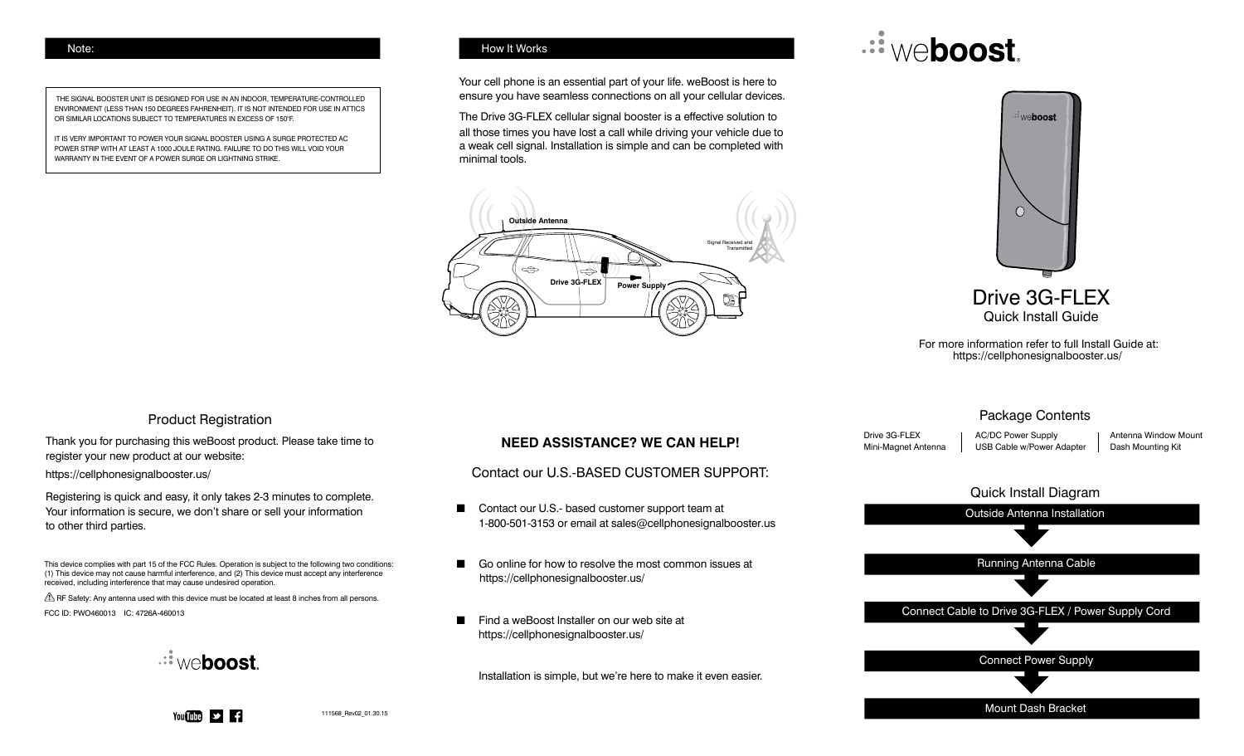THE SIGNAL BOOSTER UNIT IS DESIGNED FOR USE IN AN INDOOR, TEMPERATURE-CONTROLLED ENVIRONMENT (LESS THAN 150 DEGREES FAHRENHEIT). IT IS NOT INTENDED FOR USE IN ATTICS OR SIMILAR LOCATIONS SUBJECT TO TEMPERATURES IN EXCESS OF 150°F.

IT IS VERY IMPORTANT TO POWER YOUR SIGNAL BOOSTER USING A SURGE PROTECTED AC POWER STRIP WITH AT LEAST A 1000 JOULE RATING. FAILURE TO DO THIS WILL VOID YOUR WARRANTY IN THE EVENT OF A POWER SURGE OR LIGHTNING STRIKE.

### Note: How It Works

Your cell phone is an essential part of your life. weBoost is here to ensure you have seamless connections on all your cellular devices.

The Drive 3G-FLEX cellular signal booster is a effective solution to all those times you have lost a call while driving your vehicle due to a weak cell signal. Installation is simple and can be completed with minimal tools.



# *<u>... weboost</u>*



For more information refer to full Install Guide at: https://cellphonesignalbooster.us/

### Package Contents

Drive 3G-FLEX Mini-Magnet Antenna AC/DC Power Supply USB Cable w/Power Adapter Antenna Window Mount Dash Mounting Kit



### Product Registration

Thank you for purchasing this weBoost product. Please take time to register your new product at our website:

https://cellphonesignalbooster.us/

Registering is quick and easy, it only takes 2-3 minutes to complete. Your information is secure, we don't share or sell your information to other third parties.

This device complies with part 15 of the FCC Rules. Operation is subject to the following two conditions: (1) This device may not cause harmful interference, and (2) This device must accept any interference received, including interference that may cause undesired operation.

 $\triangle$  RF Safety: Any antenna used with this device must be located at least 8 inches from all persons. FCC ID: PWO460013 IC: 4726A-460013



## **NEED ASSISTANCE? WE CAN HELP!**

Contact our U.S.-BASED CUSTOMER SUPPORT:

- Contact our U.S.- based customer support team at 1-800-501-3153 or email at sales@cellphonesignalbooster.us
- Go online for how to resolve the most common issues at https://cellphonesignalbooster.us/
- Find a weBoost Installer on our web site at https://cellphonesignalbooster.us/

Installation is simple, but we're here to make it even easier.